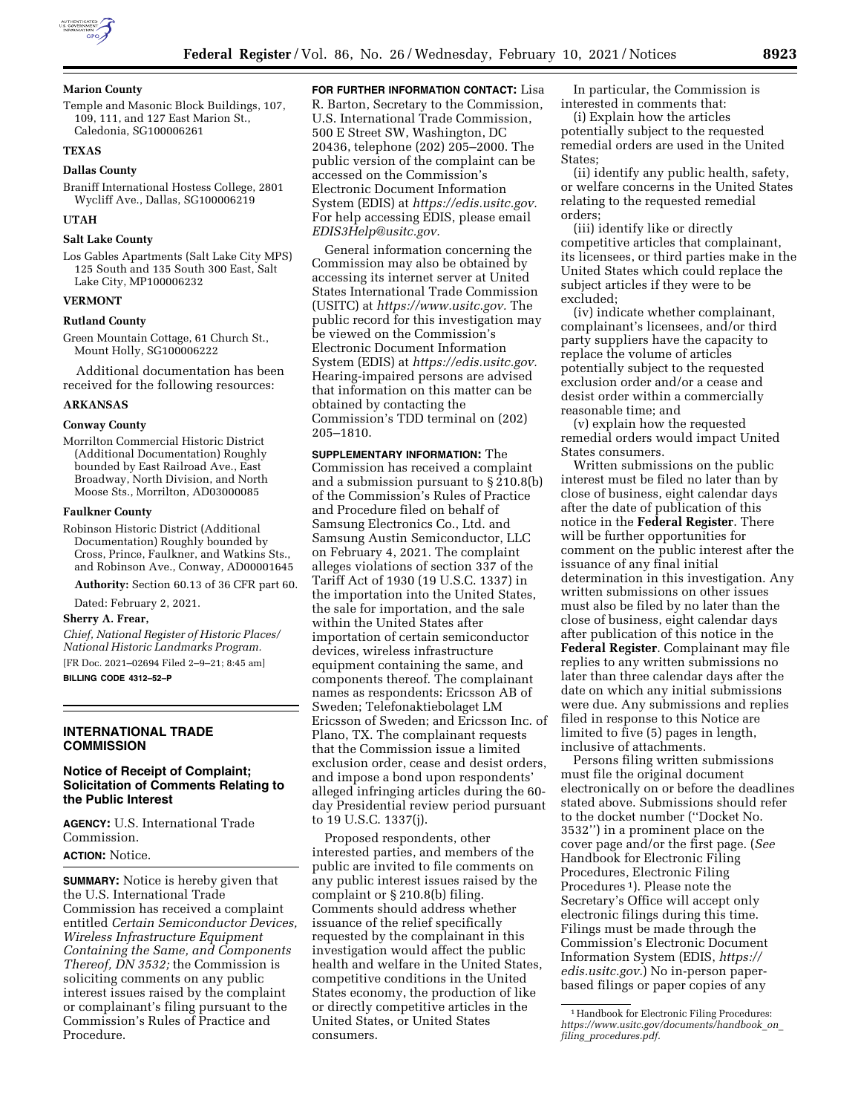

### **Marion County**

Temple and Masonic Block Buildings, 107, 109, 111, and 127 East Marion St., Caledonia, SG100006261

## **TEXAS**

# **Dallas County**

Braniff International Hostess College, 2801 Wycliff Ave., Dallas, SG100006219

## **UTAH**

### **Salt Lake County**

Los Gables Apartments (Salt Lake City MPS) 125 South and 135 South 300 East, Salt Lake City, MP100006232

#### **VERMONT**

#### **Rutland County**

Green Mountain Cottage, 61 Church St., Mount Holly, SG100006222

Additional documentation has been received for the following resources:

#### **ARKANSAS**

#### **Conway County**

Morrilton Commercial Historic District (Additional Documentation) Roughly bounded by East Railroad Ave., East Broadway, North Division, and North Moose Sts., Morrilton, AD03000085

#### **Faulkner County**

Robinson Historic District (Additional Documentation) Roughly bounded by Cross, Prince, Faulkner, and Watkins Sts., and Robinson Ave., Conway, AD00001645

**Authority:** Section 60.13 of 36 CFR part 60.

Dated: February 2, 2021.

#### **Sherry A. Frear,**

*Chief, National Register of Historic Places/ National Historic Landmarks Program.*  [FR Doc. 2021–02694 Filed 2–9–21; 8:45 am] **BILLING CODE 4312–52–P** 

### **INTERNATIONAL TRADE COMMISSION**

## **Notice of Receipt of Complaint; Solicitation of Comments Relating to the Public Interest**

**AGENCY:** U.S. International Trade Commission.

## **ACTION:** Notice.

**SUMMARY:** Notice is hereby given that the U.S. International Trade Commission has received a complaint entitled *Certain Semiconductor Devices, Wireless Infrastructure Equipment Containing the Same, and Components Thereof, DN 3532;* the Commission is soliciting comments on any public interest issues raised by the complaint or complainant's filing pursuant to the Commission's Rules of Practice and Procedure.

**FOR FURTHER INFORMATION CONTACT:** Lisa R. Barton, Secretary to the Commission, U.S. International Trade Commission, 500 E Street SW, Washington, DC 20436, telephone (202) 205–2000. The public version of the complaint can be accessed on the Commission's Electronic Document Information System (EDIS) at *[https://edis.usitc.gov.](https://edis.usitc.gov)*  For help accessing EDIS, please email *[EDIS3Help@usitc.gov.](mailto:EDIS3Help@usitc.gov)* 

General information concerning the Commission may also be obtained by accessing its internet server at United States International Trade Commission (USITC) at *[https://www.usitc.gov.](https://www.usitc.gov)* The public record for this investigation may be viewed on the Commission's Electronic Document Information System (EDIS) at *[https://edis.usitc.gov.](https://edis.usitc.gov)*  Hearing-impaired persons are advised that information on this matter can be obtained by contacting the Commission's TDD terminal on (202) 205–1810.

**SUPPLEMENTARY INFORMATION:** The Commission has received a complaint and a submission pursuant to § 210.8(b) of the Commission's Rules of Practice and Procedure filed on behalf of Samsung Electronics Co., Ltd. and Samsung Austin Semiconductor, LLC on February 4, 2021. The complaint alleges violations of section 337 of the Tariff Act of 1930 (19 U.S.C. 1337) in the importation into the United States, the sale for importation, and the sale within the United States after importation of certain semiconductor devices, wireless infrastructure equipment containing the same, and components thereof. The complainant names as respondents: Ericsson AB of Sweden; Telefonaktiebolaget LM Ericsson of Sweden; and Ericsson Inc. of Plano, TX. The complainant requests that the Commission issue a limited exclusion order, cease and desist orders, and impose a bond upon respondents' alleged infringing articles during the 60 day Presidential review period pursuant to 19 U.S.C. 1337(j).

Proposed respondents, other interested parties, and members of the public are invited to file comments on any public interest issues raised by the complaint or § 210.8(b) filing. Comments should address whether issuance of the relief specifically requested by the complainant in this investigation would affect the public health and welfare in the United States, competitive conditions in the United States economy, the production of like or directly competitive articles in the United States, or United States consumers.

In particular, the Commission is interested in comments that:

(i) Explain how the articles potentially subject to the requested remedial orders are used in the United States:

(ii) identify any public health, safety, or welfare concerns in the United States relating to the requested remedial orders;

(iii) identify like or directly competitive articles that complainant, its licensees, or third parties make in the United States which could replace the subject articles if they were to be excluded;

(iv) indicate whether complainant, complainant's licensees, and/or third party suppliers have the capacity to replace the volume of articles potentially subject to the requested exclusion order and/or a cease and desist order within a commercially reasonable time; and

(v) explain how the requested remedial orders would impact United States consumers.

Written submissions on the public interest must be filed no later than by close of business, eight calendar days after the date of publication of this notice in the **Federal Register**. There will be further opportunities for comment on the public interest after the issuance of any final initial determination in this investigation. Any written submissions on other issues must also be filed by no later than the close of business, eight calendar days after publication of this notice in the **Federal Register**. Complainant may file replies to any written submissions no later than three calendar days after the date on which any initial submissions were due. Any submissions and replies filed in response to this Notice are limited to five (5) pages in length, inclusive of attachments.

Persons filing written submissions must file the original document electronically on or before the deadlines stated above. Submissions should refer to the docket number (''Docket No. 3532'') in a prominent place on the cover page and/or the first page. (*See*  Handbook for Electronic Filing Procedures, Electronic Filing Procedures 1). Please note the Secretary's Office will accept only electronic filings during this time. Filings must be made through the Commission's Electronic Document Information System (EDIS, *[https://](https://edis.usitc.gov) [edis.usitc.gov.](https://edis.usitc.gov)*) No in-person paperbased filings or paper copies of any

<sup>&</sup>lt;sup>1</sup> Handbook for Electronic Filing Procedures: *[https://www.usitc.gov/documents/handbook](https://www.usitc.gov/documents/handbook_on_filing_procedures.pdf)*\_*on*\_ *filing*\_*[procedures.pdf.](https://www.usitc.gov/documents/handbook_on_filing_procedures.pdf)*